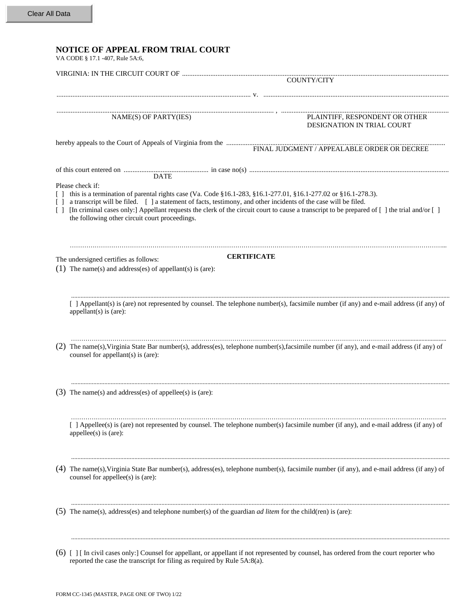| <b>NOTICE OF APPEAL FROM TRIAL COURT</b><br>VA CODE § 17.1 -407, Rule 5A:6,                                                                                                                                                                                                                                                                                                                                                                      |
|--------------------------------------------------------------------------------------------------------------------------------------------------------------------------------------------------------------------------------------------------------------------------------------------------------------------------------------------------------------------------------------------------------------------------------------------------|
| COUNTY/CITY                                                                                                                                                                                                                                                                                                                                                                                                                                      |
|                                                                                                                                                                                                                                                                                                                                                                                                                                                  |
| NAME(S) OF PARTY(IES)<br>PLAINTIFF, RESPONDENT OR OTHER<br>DESIGNATION IN TRIAL COURT                                                                                                                                                                                                                                                                                                                                                            |
|                                                                                                                                                                                                                                                                                                                                                                                                                                                  |
| <b>DATE</b><br>Please check if:<br>this is a termination of parental rights case (Va. Code §16.1-283, §16.1-277.01, §16.1-277.02 or §16.1-278.3).<br>$\Box$<br>a transcript will be filed. [ ] a statement of facts, testimony, and other incidents of the case will be filed.<br>$\Box$<br>[In criminal cases only:] Appellant requests the clerk of the circuit court to cause a transcript to be prepared of [] the trial and/or []<br>$\Box$ |
| the following other circuit court proceedings.                                                                                                                                                                                                                                                                                                                                                                                                   |
| <b>CERTIFICATE</b><br>The undersigned certifies as follows:<br>(1) The name(s) and address(es) of appellant(s) is (are):                                                                                                                                                                                                                                                                                                                         |
| [ ] Appellant(s) is (are) not represented by counsel. The telephone number(s), facsimile number (if any) and e-mail address (if any) of<br>appellant $(s)$ is $(are)$ :                                                                                                                                                                                                                                                                          |
| (2) The name(s), Virginia State Bar number(s), address(es), telephone number(s), facsimile number (if any), and e-mail address (if any) of<br>counsel for appellant(s) is (are):                                                                                                                                                                                                                                                                 |
| (3) The name(s) and address(es) of appellee(s) is (are):                                                                                                                                                                                                                                                                                                                                                                                         |
| [ ] Appellee(s) is (are) not represented by counsel. The telephone number(s) facsimile number (if any), and e-mail address (if any) of<br>appellee(s) is $(are)$ :                                                                                                                                                                                                                                                                               |
| (4) The name(s), Virginia State Bar number(s), address(es), telephone number(s), facsimile number (if any), and e-mail address (if any) of<br>counsel for appellee(s) is (are):                                                                                                                                                                                                                                                                  |
| (5) The name(s), address(es) and telephone number(s) of the guardian <i>ad litem</i> for the child(ren) is (are):                                                                                                                                                                                                                                                                                                                                |
| (6) [ ] [ In civil cases only:] Counsel for appellant, or appellant if not represented by counsel, has ordered from the court reporter who                                                                                                                                                                                                                                                                                                       |

reported the case the transcript for filing as required by Rule 5A:8(a).